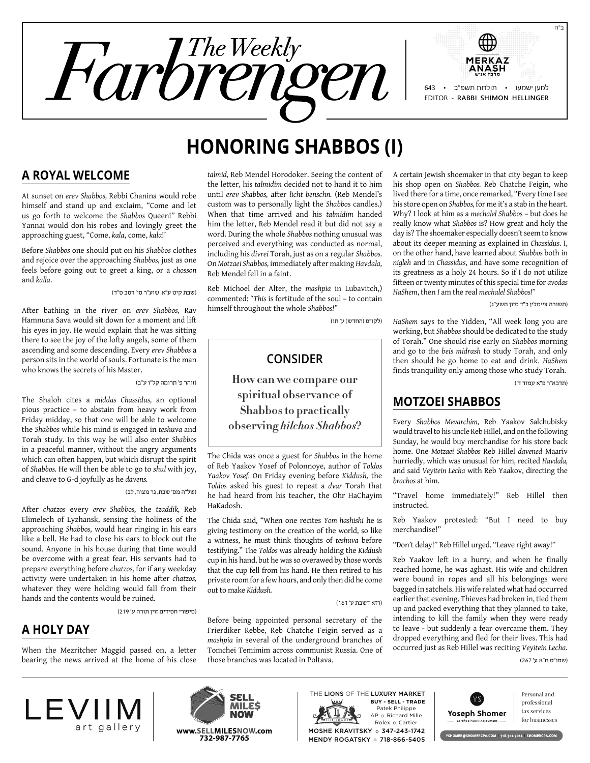

# **Honoring Shabbos (I)**

### **A Royal Welcome**

At sunset on *erev Shabbos,* Rebbi Chanina would robe himself and stand up and exclaim, "Come and let us go forth to welcome the *Shabbos* Queen!" Rebbi Yannai would don his robes and lovingly greet the approaching guest, "Come, *kala*, come, *kala*!'

Before *Shabbos* one should put on his *Shabbos* clothes and rejoice over the approaching *Shabbos,* just as one feels before going out to greet a king, or a *chosson* and *kalla*.

)שבת קיט ע"א, שוע"ר סי' רסב ס"ד(

After bathing in the river on *erev Shabbos,* Rav Hamnuna Sava would sit down for a moment and lift his eyes in joy. He would explain that he was sitting there to see the joy of the lofty angels, some of them ascending and some descending. Every *erev Shabbos* a person sits in the world of souls. Fortunate is the man who knows the secrets of his Master.

#### )זוהר פ' תרומה קל"ו ע"ב(

The Shaloh cites a *middas Chassidus,* an optional pious practice – to abstain from heavy work from Friday midday, so that one will be able to welcome the *Shabbos* while his mind is engaged in *teshuva* and Torah study. In this way he will also enter *Shabbos* in a peaceful manner, without the angry arguments which can often happen, but which disrupt the spirit of *Shabbos.* He will then be able to go to *shul* with joy, and cleave to G-d joyfully as he *davens.*

#### )של"ה מס' שבת, נר מצוה, לב(

After *chatzos* every *erev Shabbos,* the *tzaddik,* Reb Elimelech of Lyzhansk, sensing the holiness of the approaching *Shabbos,* would hear ringing in his ears like a bell. He had to close his ears to block out the sound. Anyone in his house during that time would be overcome with a great fear. His servants had to prepare everything before *chatzos,* for if any weekday activity were undertaken in his home after *chatzos,* whatever they were holding would fall from their hands and the contents would be ruined.

)סיפורי חסידים זוין תורה ע' 219(

# **A Holy Day**

When the Mezritcher Maggid passed on, a letter bearing the news arrived at the home of his close *talmid,* Reb Mendel Horodoker. Seeing the content of the letter, his *talmidim* decided not to hand it to him until *erev Shabbos,* after *licht benschn.* (Reb Mendel's custom was to personally light the *Shabbos* candles.) When that time arrived and his *talmidim* handed him the letter, Reb Mendel read it but did not say a word. During the whole *Shabbos* nothing unusual was perceived and everything was conducted as normal, including his *divrei* Torah, just as on a regular *Shabbos.* On *Motzaei Shabbos,* immediately after making *Havdala,* Reb Mendel fell in a faint.

Reb Michoel der Alter, the *mashpia* in Lubavitch,) commented: *"This* is fortitude of the soul – to contain himself throughout the whole *Shabbos!"*

(לקו"ס (החדש) ע' תו

#### **Consider**

**How can we compare our spiritual observance of Shabbos to practically observing** *hilchos Shabbos***?**

The Chida was once a guest for *Shabbos* in the home of Reb Yaakov Yosef of Polonnoye, author of *Toldos Yaakov Yosef.* On Friday evening before *Kiddush,* the *Toldos* asked his guest to repeat a *dvar* Torah that he had heard from his teacher, the Ohr HaChayim HaKadosh.

The Chida said, "When one recites *Yom hashishi* he is giving testimony on the creation of the world, so like a witness, he must think thoughts of *teshuva* before testifying." The *Toldos* was already holding the *Kiddush* cup in his hand, but he was so overawed by those words that the cup fell from his hand. He then retired to his private room for a few hours, and only then did he come out to make *Kiddush.*

)רזא דשבת ע' 161(

Before being appointed personal secretary of the Frierdiker Rebbe, Reb Chatche Feigin served as a *mashpia* in several of the underground branches of Tomchei Temimim across communist Russia. One of those branches was located in Poltava.

A certain Jewish shoemaker in that city began to keep his shop open on *Shabbos.* Reb Chatche Feigin, who lived there for a time, once remarked, "Every time I see his store open on *Shabbos,* for me it's a stab in the heart. Why? I look at him as a *mechalel Shabbos* – but does he really know what *Shabbos* is? How great and holy the day is? The shoemaker especially doesn't seem to know about its deeper meaning as explained in *Chassidus*. I, on the other hand, have learned about *Shabbos* both in *nigleh* and in *Chassidus*, and have some recognition of its greatness as a holy 24 hours. So if I do not utilize fifteen or twenty minutes of this special time for *avodas HaShem*, then *I* am the real *mechalel Shabbos!"*

)תשורה צייטלין כ"ד סיון תשע"ג(

*HaShem* says to the Yidden, "All week long you are working, but *Shabbos* should be dedicated to the study of Torah." One should rise early on *Shabbos* morning and go to the *beis midrash* to study Torah, and only then should he go home to eat and drink. *HaShem* finds tranquility only among those who study Torah.

)תדבא"ר פ"א עמוד ד'(

### **Motzoei Shabbos**

Every *Shabbos Mevarchim,* Reb Yaakov Salchubisky would travel to his uncle Reb Hillel, and on the following Sunday, he would buy merchandise for his store back home. One *Motzaei Shabbos* Reb Hillel *davened* Maariv hurriedly, which was unusual for him, recited *Havdala,* and said *Veyitein Lecha* with Reb Yaakov, directing the *brachos* at him.

"Travel home immediately!" Reb Hillel then instructed.

Reb Yaakov protested: "But I need to buy merchandise!"

"Don't delay!" Reb Hillel urged. "Leave right away!"

Reb Yaakov left in a hurry, and when he finally reached home, he was aghast. His wife and children were bound in ropes and all his belongings were bagged in satchels. His wife related what had occurred earlier that evening. Thieves had broken in, tied them up and packed everything that they planned to take, intending to kill the family when they were ready to leave - but suddenly a fear overcame them. They dropped everything and fled for their lives. This had occurred just as Reb Hillel was reciting *Veyitein Lecha.*

)שמו"ס ח"א ע' 267(